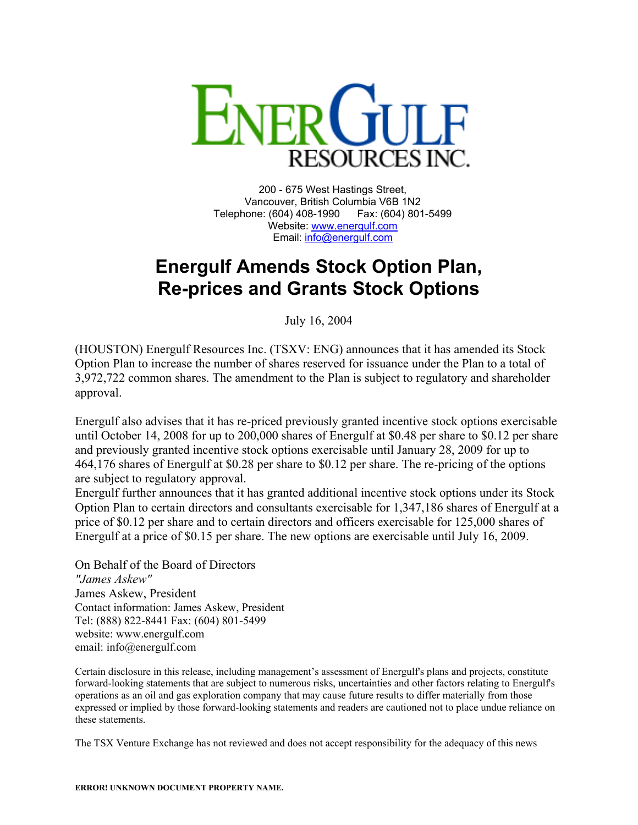

200 - 675 West Hastings Street, Vancouver, British Columbia V6B 1N2 Telephone: (604) 408-1990 Fax: (604) 801-5499 Website: [www.energulf.com](http://www.energulf.com/) Email: [info@energulf.com](mailto:info@energulf.com)

## **Energulf Amends Stock Option Plan, Re-prices and Grants Stock Options**

July 16, 2004

(HOUSTON) Energulf Resources Inc. (TSXV: ENG) announces that it has amended its Stock Option Plan to increase the number of shares reserved for issuance under the Plan to a total of 3,972,722 common shares. The amendment to the Plan is subject to regulatory and shareholder approval.

Energulf also advises that it has re-priced previously granted incentive stock options exercisable until October 14, 2008 for up to 200,000 shares of Energulf at \$0.48 per share to \$0.12 per share and previously granted incentive stock options exercisable until January 28, 2009 for up to 464,176 shares of Energulf at \$0.28 per share to \$0.12 per share. The re-pricing of the options are subject to regulatory approval.

Energulf further announces that it has granted additional incentive stock options under its Stock Option Plan to certain directors and consultants exercisable for 1,347,186 shares of Energulf at a price of \$0.12 per share and to certain directors and officers exercisable for 125,000 shares of Energulf at a price of \$0.15 per share. The new options are exercisable until July 16, 2009.

On Behalf of the Board of Directors *"James Askew"*  James Askew, President Contact information: James Askew, President Tel: (888) 822-8441 Fax: (604) 801-5499 website: www.energulf.com email: info@energulf.com

Certain disclosure in this release, including management's assessment of Energulf's plans and projects, constitute forward-looking statements that are subject to numerous risks, uncertainties and other factors relating to Energulf's operations as an oil and gas exploration company that may cause future results to differ materially from those expressed or implied by those forward-looking statements and readers are cautioned not to place undue reliance on these statements.

The TSX Venture Exchange has not reviewed and does not accept responsibility for the adequacy of this news